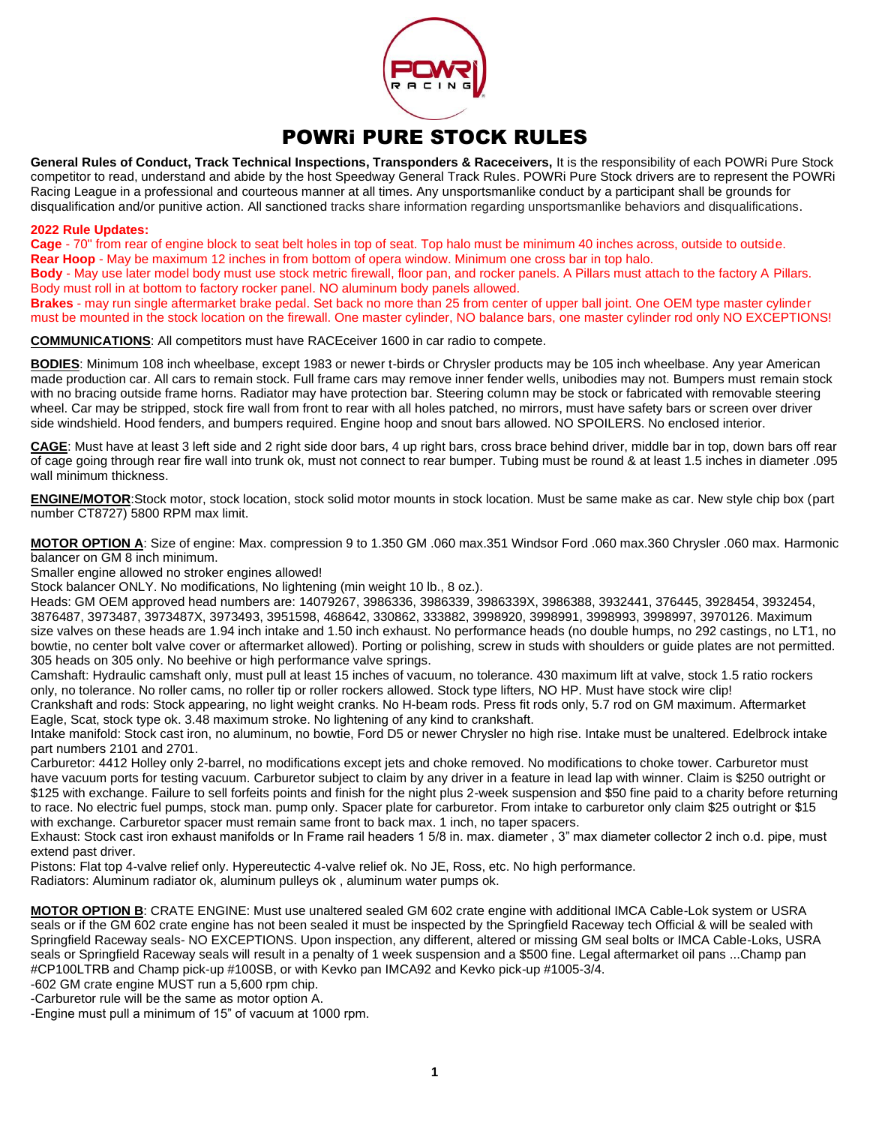

## POWRi PURE STOCK RULES

**General Rules of Conduct, Track Technical Inspections, Transponders & Raceceivers,** It is the responsibility of each POWRi Pure Stock competitor to read, understand and abide by the host Speedway General Track Rules. POWRi Pure Stock drivers are to represent the POWRi Racing League in a professional and courteous manner at all times. Any unsportsmanlike conduct by a participant shall be grounds for disqualification and/or punitive action. All sanctioned tracks share information regarding unsportsmanlike behaviors and disqualifications.

## **2022 Rule Updates:**

**Cage** - 70" from rear of engine block to seat belt holes in top of seat. Top halo must be minimum 40 inches across, outside to outside. **Rear Hoop** - May be maximum 12 inches in from bottom of opera window. Minimum one cross bar in top halo.

**Body** - May use later model body must use stock metric firewall, floor pan, and rocker panels. A Pillars must attach to the factory A Pillars. Body must roll in at bottom to factory rocker panel. NO aluminum body panels allowed.

**Brakes** - may run single aftermarket brake pedal. Set back no more than 25 from center of upper ball joint. One OEM type master cylinder must be mounted in the stock location on the firewall. One master cylinder, NO balance bars, one master cylinder rod only NO EXCEPTIONS!

**COMMUNICATIONS**: All competitors must have RACEceiver 1600 in car radio to compete.

**BODIES**: Minimum 108 inch wheelbase, except 1983 or newer t-birds or Chrysler products may be 105 inch wheelbase. Any year American made production car. All cars to remain stock. Full frame cars may remove inner fender wells, unibodies may not. Bumpers must remain stock with no bracing outside frame horns. Radiator may have protection bar. Steering column may be stock or fabricated with removable steering wheel. Car may be stripped, stock fire wall from front to rear with all holes patched, no mirrors, must have safety bars or screen over driver side windshield. Hood fenders, and bumpers required. Engine hoop and snout bars allowed. NO SPOILERS. No enclosed interior.

**CAGE**: Must have at least 3 left side and 2 right side door bars, 4 up right bars, cross brace behind driver, middle bar in top, down bars off rear of cage going through rear fire wall into trunk ok, must not connect to rear bumper. Tubing must be round & at least 1.5 inches in diameter .095 wall minimum thickness.

**ENGINE/MOTOR**:Stock motor, stock location, stock solid motor mounts in stock location. Must be same make as car. New style chip box (part number CT8727) 5800 RPM max limit.

**MOTOR OPTION A**: Size of engine: Max. compression 9 to 1.350 GM .060 max.351 Windsor Ford .060 max.360 Chrysler .060 max. Harmonic balancer on GM 8 inch minimum.

Smaller engine allowed no stroker engines allowed!

Stock balancer ONLY. No modifications, No lightening (min weight 10 lb., 8 oz.).

Heads: GM OEM approved head numbers are: 14079267, 3986336, 3986339, 3986339X, 3986388, 3932441, 376445, 3928454, 3932454, 3876487, 3973487, 3973487X, 3973493, 3951598, 468642, 330862, 333882, 3998920, 3998991, 3998993, 3998997, 3970126. Maximum size valves on these heads are 1.94 inch intake and 1.50 inch exhaust. No performance heads (no double humps, no 292 castings, no LT1, no bowtie, no center bolt valve cover or aftermarket allowed). Porting or polishing, screw in studs with shoulders or guide plates are not permitted. 305 heads on 305 only. No beehive or high performance valve springs.

Camshaft: Hydraulic camshaft only, must pull at least 15 inches of vacuum, no tolerance. 430 maximum lift at valve, stock 1.5 ratio rockers only, no tolerance. No roller cams, no roller tip or roller rockers allowed. Stock type lifters, NO HP. Must have stock wire clip!

Crankshaft and rods: Stock appearing, no light weight cranks. No H-beam rods. Press fit rods only, 5.7 rod on GM maximum. Aftermarket Eagle, Scat, stock type ok. 3.48 maximum stroke. No lightening of any kind to crankshaft.

Intake manifold: Stock cast iron, no aluminum, no bowtie, Ford D5 or newer Chrysler no high rise. Intake must be unaltered. Edelbrock intake part numbers 2101 and 2701.

Carburetor: 4412 Holley only 2-barrel, no modifications except jets and choke removed. No modifications to choke tower. Carburetor must have vacuum ports for testing vacuum. Carburetor subject to claim by any driver in a feature in lead lap with winner. Claim is \$250 outright or \$125 with exchange. Failure to sell forfeits points and finish for the night plus 2-week suspension and \$50 fine paid to a charity before returning to race. No electric fuel pumps, stock man. pump only. Spacer plate for carburetor. From intake to carburetor only claim \$25 outright or \$15 with exchange. Carburetor spacer must remain same front to back max. 1 inch, no taper spacers.

Exhaust: Stock cast iron exhaust manifolds or In Frame rail headers 1 5/8 in. max. diameter , 3" max diameter collector 2 inch o.d. pipe, must extend past driver.

Pistons: Flat top 4-valve relief only. Hypereutectic 4-valve relief ok. No JE, Ross, etc. No high performance.

Radiators: Aluminum radiator ok, aluminum pulleys ok , aluminum water pumps ok.

**MOTOR OPTION B**: CRATE ENGINE: Must use unaltered sealed GM 602 crate engine with additional IMCA Cable-Lok system or USRA seals or if the GM 602 crate engine has not been sealed it must be inspected by the Springfield Raceway tech Official & will be sealed with Springfield Raceway seals- NO EXCEPTIONS. Upon inspection, any different, altered or missing GM seal bolts or IMCA Cable-Loks, USRA seals or Springfield Raceway seals will result in a penalty of 1 week suspension and a \$500 fine. Legal aftermarket oil pans ...Champ pan #CP100LTRB and Champ pick-up #100SB, or with Kevko pan IMCA92 and Kevko pick-up #1005-3/4.

-602 GM crate engine MUST run a 5,600 rpm chip.

-Carburetor rule will be the same as motor option A.

-Engine must pull a minimum of 15" of vacuum at 1000 rpm.